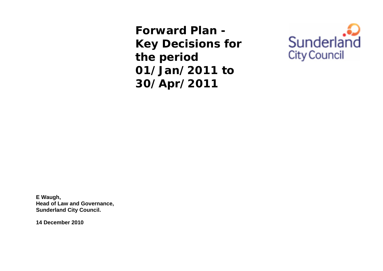**Forward Plan - Key Decisions for the period 01/Jan/2011 to 30/Apr/2011** 



**E Waugh, Head of Law and Governance, Sunderland City Council.** 

**14 December 2010**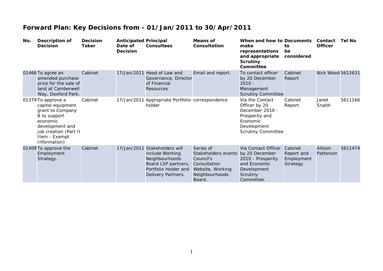| No. | Description of<br><b>Decision</b>                                                                                                                                    | <b>Decision</b><br>Taker | <b>Anticipated Principal</b><br>Date of<br><b>Decision</b> | <b>Consultees</b>                                                                                                           | <b>Means of</b><br>Consultation                                                                               | When and how to Documents<br>make<br>representations<br>and appropriate<br><b>Scrutiny</b><br>Committee                       | to<br>be<br>considered                          | Contact<br><b>Officer</b> | Tel No  |
|-----|----------------------------------------------------------------------------------------------------------------------------------------------------------------------|--------------------------|------------------------------------------------------------|-----------------------------------------------------------------------------------------------------------------------------|---------------------------------------------------------------------------------------------------------------|-------------------------------------------------------------------------------------------------------------------------------|-------------------------------------------------|---------------------------|---------|
|     | 01466 To agree an<br>amended purchase<br>price for the sale of<br>land at Camberwell<br>Way, Doxford Park.                                                           | Cabinet                  | 17/Jan/2011                                                | Head of Law and<br>Governance, Director<br>of Financial<br>Resources                                                        | Email and report.                                                                                             | To contact officer<br>by 20 December<br>$2010 -$<br>Management<br><b>Scrutiny Committee</b>                                   | Cabinet<br>Report                               | Nick Wood 5612631         |         |
|     | 01379 To approve a<br>capital equipment<br>grant to Company<br>B to support<br>economic<br>development and<br>job creation (Part II<br>Item - Exempt<br>Information) | Cabinet                  |                                                            | 17/Jan/2011 Appropriate Portfolio correspondence<br>holder                                                                  |                                                                                                               | Via the Contact<br>Officer by 20<br>December 2010 -<br>Prosperity and<br>Economic<br>Development<br><b>Scrutiny Committee</b> | Cabinet<br>Report                               | Janet<br>Snaith           | 5611166 |
|     | 01409 To approve the<br>Employment<br>Strategy.                                                                                                                      | Cabinet                  | 17/Jan/2011                                                | Stakeholders will<br>include Working<br>Neighbourhoods<br>Board LSP partners,<br>Portfolio Holder and<br>Delivery Partners. | Series of<br>Stakeholders events<br>Council's<br>Consultation<br>Website, Working<br>Neighbourhoods<br>Board. | Via Contact Officer<br>by 20 December<br>2010 - Prosperity<br>and Economic<br>Development<br>Scrutiny<br>Committee.           | Cabinet<br>Report and<br>Employment<br>Strategy | Allison<br>Patterson      | 5611474 |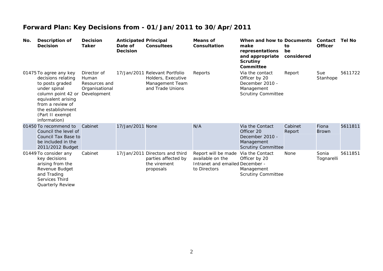| No. | Description of<br><b>Decision</b>                                                                                                                                                                       | <b>Decision</b><br><b>Taker</b>                                        | <b>Anticipated Principal</b><br>Date of<br><b>Decision</b> | <b>Consultees</b>                                                                           | Means of<br>Consultation                                                                   | When and how to Documents<br>make<br>representations<br>and appropriate<br><b>Scrutiny</b><br>Committee | to<br>be<br>considered | Contact<br><b>Officer</b> | Tel No  |
|-----|---------------------------------------------------------------------------------------------------------------------------------------------------------------------------------------------------------|------------------------------------------------------------------------|------------------------------------------------------------|---------------------------------------------------------------------------------------------|--------------------------------------------------------------------------------------------|---------------------------------------------------------------------------------------------------------|------------------------|---------------------------|---------|
|     | 01475 To agree any key<br>decisions relating<br>to posts graded<br>under spinal<br>column point 42 or<br>equivalent arising<br>from a review of<br>the establishment<br>(Part II exempt<br>information) | Director of<br>Human<br>Resources and<br>Organisational<br>Development |                                                            | 17/Jan/2011 Relevant Portfolio<br>Holders, Executive<br>Management Team<br>and Trade Unions | Reports                                                                                    | Via the contact<br>Officer by 20<br>December 2010 -<br>Management<br><b>Scrutiny Committee</b>          | Report                 | Sue<br>Stanhope           | 5611722 |
|     | 01450 To recommend to<br>Council the level of<br>Council Tax Base to<br>be included in the<br>2011/2012 Budget                                                                                          | Cabinet                                                                | 17/Jan/2011 None                                           |                                                                                             | N/A                                                                                        | Via the Contact<br>Officer 20<br>December 2010 -<br>Management<br><b>Scrutiny Committee</b>             | Cabinet<br>Report      | Fiona<br><b>Brown</b>     | 5611811 |
|     | 01449 To consider any<br>key decisions<br>arising from the<br>Revenue Budget<br>and Trading<br>Services Third<br><b>Quarterly Review</b>                                                                | Cabinet                                                                | 17/Jan/2011                                                | Directors and third<br>parties affected by<br>the virement<br>proposals                     | Report will be made<br>available on the<br>Intranet and emailed December -<br>to Directors | Via the Contact<br>Officer by 20<br>Management<br><b>Scrutiny Committee</b>                             | None                   | Sonia<br>Tognarelli       | 5611851 |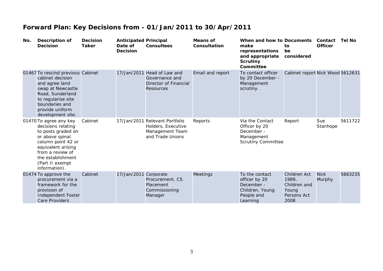| No. | <b>Description of</b><br><b>Decision</b>                                                                                                                                                                       | <b>Decision</b><br><b>Taker</b> | <b>Anticipated Principal</b><br>Date of<br><b>Decision</b> | <b>Consultees</b>                                                                           | <b>Means of</b><br>Consultation | When and how to Documents<br>make<br>representations<br>and appropriate<br><b>Scrutiny</b><br>Committee | to<br>be<br>considered                                                       | Contact<br><b>Officer</b> | <b>Tel No</b> |
|-----|----------------------------------------------------------------------------------------------------------------------------------------------------------------------------------------------------------------|---------------------------------|------------------------------------------------------------|---------------------------------------------------------------------------------------------|---------------------------------|---------------------------------------------------------------------------------------------------------|------------------------------------------------------------------------------|---------------------------|---------------|
|     | 01467 To rescind previous Cabinet<br>cabinet decision<br>and agree land<br>swap at Newcastle<br>Road, Sunderland<br>to regularise site<br>boundaries and<br>provide uniform<br>development site.               |                                 |                                                            | 17/Jan/2011 Head of Law and<br>Governance and<br>Director of Financial<br><b>Resources</b>  | Email and report                | To contact officer<br>by 20 December -<br>Management<br>scrutiny.                                       | Cabinet report Nick Wood 5612631                                             |                           |               |
|     | 01470 To agree any key<br>decisions relating<br>to posts graded on<br>or above spinal<br>column point 42 or<br>equivalent arising<br>from a review of<br>the establishment<br>(Part II exempt<br>information). | Cabinet                         |                                                            | 17/Jan/2011 Relevant Portfolio<br>Holders, Executive<br>Management Team<br>and Trade Unions | Reports                         | Via the Contact<br>Officer by 20<br>December -<br>Management<br><b>Scrutiny Committee</b>               | Report                                                                       | Sue<br>Stanhope           | 5611722       |
|     | 01474 To approve the<br>procurement via a<br>framework for the<br>provision of<br><b>Independent Foster</b><br>Care Providers                                                                                  | Cabinet                         | 17/Jan/2011 Corporate                                      | Procurement, CS<br>Placement<br>Commissioning<br>Manager                                    | <b>Meetings</b>                 | To the contact<br>officer by 20<br>December -<br>Children, Young<br>People and<br>Learning              | <b>Children Act</b><br>1989,<br>Children and<br>Young<br>Persons Act<br>2008 | <b>Nick</b><br>Murphy     | 5663235       |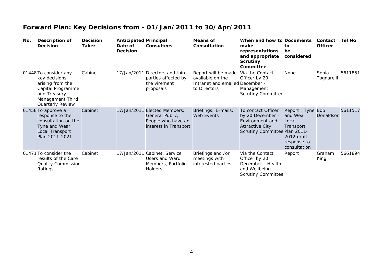| No. | Description of<br>Decision                                                                                                              | <b>Decision</b><br>Taker | <b>Anticipated Principal</b><br>Date of<br><b>Decision</b> | <b>Consultees</b>                                                                              | <b>Means of</b><br>Consultation                                                            | When and how to Documents<br>make<br>representations<br>and appropriate<br><b>Scrutiny</b><br>Committee              | to<br>be<br>considered                                                                           | Contact<br><b>Officer</b> | <b>Tel No</b> |
|-----|-----------------------------------------------------------------------------------------------------------------------------------------|--------------------------|------------------------------------------------------------|------------------------------------------------------------------------------------------------|--------------------------------------------------------------------------------------------|----------------------------------------------------------------------------------------------------------------------|--------------------------------------------------------------------------------------------------|---------------------------|---------------|
|     | 01448 To consider any<br>key decisions<br>arising from the<br>Capital Programme<br>and Treasury<br>Management Third<br>Quarterly Review | Cabinet                  |                                                            | 17/Jan/2011 Directors and third<br>parties affected by<br>the virement<br>proposals            | Report will be made<br>available on the<br>Intranet and emailed December -<br>to Directors | Via the Contact<br>Officer by 20<br>Management<br><b>Scrutiny Committee</b>                                          | None                                                                                             | Sonia<br>Tognarelli       | 5611851       |
|     | 01458 To approve a<br>response to the<br>consultation on the<br>Tyne and Wear<br>Local Transport<br>Plan 2011-2021.                     | Cabinet                  |                                                            | 17/Jan/2011 Elected Members;<br>General Public;<br>People who have an<br>interest in Transport | Briefings; E-mails;<br>Web Events                                                          | To contact Officer<br>by 20 December -<br>Environment and<br><b>Attractive City</b><br>Scrutiny Committee Plan 2011- | Report ; Tyne Bob<br>and Wear<br>Local<br>Transport<br>2012 draft<br>response to<br>consultation | Donaldson                 | 5611517       |
|     | 01471 To consider the<br>results of the Care<br>Quality Commission<br>Ratings.                                                          | Cabinet                  | 17/Jan/2011                                                | Cabinet, Service<br>Users and Ward<br>Members, Portfolio<br>Holders                            | Briefings and /or<br>meetings with<br>interested parties                                   | Via the Contact<br>Officer by 20<br>December - Health<br>and Wellbeing<br><b>Scrutiny Committee</b>                  | Report                                                                                           | Graham<br>King            | 5661894       |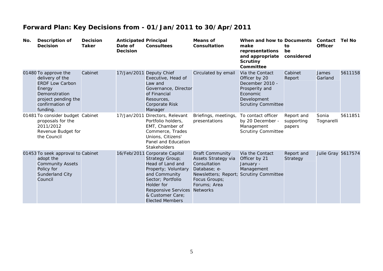| No. | Description of<br><b>Decision</b>                                                                                                                  | <b>Decision</b><br><b>Taker</b> | <b>Anticipated Principal</b><br>Date of<br><b>Decision</b> | <b>Consultees</b>                                                                                                                                                                                                           | <b>Means of</b><br>Consultation                                                                                                                           | When and how to Documents<br>make<br>representations<br>and appropriate<br><b>Scrutiny</b><br>Committee                       | to<br>be<br>considered             | Contact<br><b>Officer</b> | <b>Tel No</b> |
|-----|----------------------------------------------------------------------------------------------------------------------------------------------------|---------------------------------|------------------------------------------------------------|-----------------------------------------------------------------------------------------------------------------------------------------------------------------------------------------------------------------------------|-----------------------------------------------------------------------------------------------------------------------------------------------------------|-------------------------------------------------------------------------------------------------------------------------------|------------------------------------|---------------------------|---------------|
|     | 01480 To approve the<br>delivery of the<br><b>ERDF Low Carbon</b><br>Energy<br>Demonstration<br>project pending the<br>confirmation of<br>funding. | Cabinet                         |                                                            | 17/Jan/2011 Deputy Chief<br>Executive, Head of<br>Law and<br>Governance, Director<br>of Financial<br>Resources,<br><b>Corporate Risk</b><br>Manager                                                                         | Circulated by email                                                                                                                                       | Via the Contact<br>Officer by 20<br>December 2010 -<br>Prosperity and<br>Economic<br>Development<br><b>Scrutiny Committee</b> | Cabinet<br>Report                  | James<br>Garland          | 5611158       |
|     | 01481 To consider budget Cabinet<br>proposals for the<br>2011/2012<br>Revenue Budget for<br>the Council                                            |                                 |                                                            | 17/Jan/2011 Directors, Relevant<br>Portfolio holders,<br>EMT, Chamber of<br>Commerce, Trades<br>Unions, Citizens'<br>Panel and Education<br>Stakeholders                                                                    | Briefings, meetings,<br>presentations                                                                                                                     | To contact officer<br>by 20 December -<br>Management<br><b>Scrutiny Committee</b>                                             | Report and<br>supporting<br>papers | Sonia<br>Tognarelli       | 5611851       |
|     | 01453 To seek approval to Cabinet<br>adopt the<br><b>Community Assets</b><br>Policy for<br>Sunderland City<br>Council                              |                                 |                                                            | 16/Feb/2011 Corporate Capital<br>Strategy Group;<br>Head of Land and<br>Property; Voluntary<br>and Community<br>Sector; Portfolio<br>Holder for<br><b>Responsive Services</b><br>& Customer Care;<br><b>Elected Members</b> | <b>Draft Community</b><br>Assets Strategy via<br>Consultation<br>Database; e-<br>Newsletters; Report;<br>Focus Groups;<br>Forums; Area<br><b>Networks</b> | Via the Contact<br>Officer by 21<br>January -<br>Management<br><b>Scrutiny Committee</b>                                      | Report and<br>Strategy             | <b>Julie Gray 5617574</b> |               |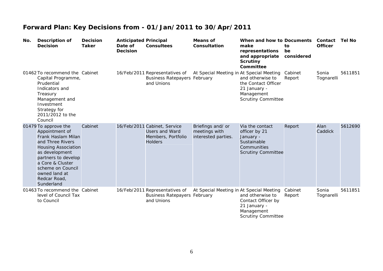| No. | <b>Description of</b><br><b>Decision</b>                                                                                                                                                                                                        | <b>Decision</b><br><b>Taker</b> | <b>Anticipated Principal</b><br>Date of<br><b>Decision</b> | <b>Consultees</b>                                                                      | <b>Means of</b><br>Consultation                           | When and how to Documents<br>make<br>representations<br>and appropriate<br><b>Scrutiny</b><br>Committee  | to<br>be<br>considered | Contact<br><b>Officer</b> | <b>Tel No</b> |
|-----|-------------------------------------------------------------------------------------------------------------------------------------------------------------------------------------------------------------------------------------------------|---------------------------------|------------------------------------------------------------|----------------------------------------------------------------------------------------|-----------------------------------------------------------|----------------------------------------------------------------------------------------------------------|------------------------|---------------------------|---------------|
|     | 01462 To recommend the Cabinet<br>Capital Programme,<br>Prudential<br>Indicators and<br>Treasury<br>Management and<br>Investment<br>Strategy for<br>2011/2012 to the<br>Council                                                                 |                                 |                                                            | 16/Feb/2011 Representatives of<br><b>Business Ratepayers February</b><br>and Unions    | At Special Meeting in At Special Meeting                  | and otherwise to<br>the Contact Officer<br>21 January -<br>Management<br><b>Scrutiny Committee</b>       | Cabinet<br>Report      | Sonia<br>Tognarelli       | 5611851       |
|     | 01479 To approve the<br>Appointment of<br>Frank Haslam Milan<br>and Three Rivers<br><b>Housing Association</b><br>as development<br>partners to develop<br>a Core & Cluster<br>scheme on Council<br>owned land at<br>Redcar Road,<br>Sunderland | Cabinet                         |                                                            | 16/Feb/2011 Cabinet, Service<br>Users and Ward<br>Members, Portfolio<br><b>Holders</b> | Briefings and/ or<br>meetings with<br>interested parties. | Via the contact<br>officer by 21<br>January -<br>Sustainable<br>Communities<br><b>Scrutiny Committee</b> | Report                 | Alan<br>Caddick           | 5612690       |
|     | 01463 To recommend the Cabinet<br>level of Council Tax<br>to Council                                                                                                                                                                            |                                 |                                                            | 16/Feb/2011 Representatives of<br><b>Business Ratepayers February</b><br>and Unions    | At Special Meeting in At Special Meeting                  | and otherwise to<br>Contact Officer by<br>21 January -<br>Management<br><b>Scrutiny Committee</b>        | Cabinet<br>Report      | Sonia<br>Tognarelli       | 5611851       |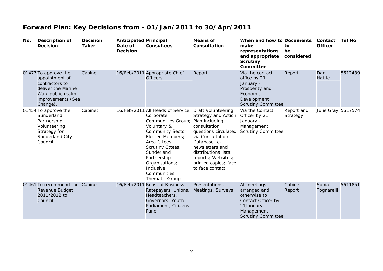| No. | <b>Description of</b><br><b>Decision</b>                                                                                             | <b>Decision</b><br><b>Taker</b> | <b>Anticipated Principal</b><br>Date of<br><b>Decision</b> | <b>Consultees</b>                                                                                                                                                                                                                                                    | <b>Means of</b><br>Consultation                                                                                                                                                                                                                                   | When and how to Documents<br>make<br>representations<br>and appropriate<br><b>Scrutiny</b><br>Committee                     | to<br>be<br>considered | Contact<br><b>Officer</b> | <b>Tel No</b> |
|-----|--------------------------------------------------------------------------------------------------------------------------------------|---------------------------------|------------------------------------------------------------|----------------------------------------------------------------------------------------------------------------------------------------------------------------------------------------------------------------------------------------------------------------------|-------------------------------------------------------------------------------------------------------------------------------------------------------------------------------------------------------------------------------------------------------------------|-----------------------------------------------------------------------------------------------------------------------------|------------------------|---------------------------|---------------|
|     | 01477 To approve the<br>appointment of<br>contractors to<br>deliver the Marine<br>Walk public realm<br>improvements (Sea<br>Change). | Cabinet                         |                                                            | 16/Feb/2011 Appropriate Chief<br><b>Officers</b>                                                                                                                                                                                                                     | Report                                                                                                                                                                                                                                                            | Via the contact<br>office by 21<br>January -<br>Prosperity and<br>Economic<br>Development<br><b>Scrutiny Committee</b>      | Report                 | Dan<br>Hattle             | 5612439       |
|     | 01454 To approve the<br>Sunderland<br>Partnership<br>Volunteering<br>Strategy for<br>Sunderland City<br>Council.                     | Cabinet                         |                                                            | 16/Feb/2011 All Heads of Service;<br>Corporate<br>Communities Group;<br>Voluntary &<br>Community Sector;<br>Elected Members;<br>Area Cttees:<br><b>Scrutiny Cttees;</b><br>Sunderland<br>Partnership<br>Organisations;<br>Inclusive<br>Communities<br>Thematic Group | <b>Draft Volunteering</b><br><b>Strategy and Action</b><br>Plan including<br>consultation<br>questions circulated<br>via Consultation<br>Database; e-<br>newsletters and<br>distributions lists;<br>reports; Websites;<br>printed copies; face<br>to face contact | Via the Contact<br>Officer by 21<br>January -<br>Management<br><b>Scrutiny Committee</b>                                    | Report and<br>Strategy | <b>Julie Gray 5617574</b> |               |
|     | 01461 To recommend the Cabinet<br>Revenue Budget<br>2011/2012 to<br>Council                                                          |                                 |                                                            | 16/Feb/2011 Reps. of Business<br>Ratepayers, Unions,<br>Headteachers,<br>Governors, Youth<br>Parliament, Citizens<br>Panel                                                                                                                                           | Presentations,<br>Meetings, Surveys                                                                                                                                                                                                                               | At meetings<br>arranged and<br>otherwise to<br>Contact Officer by<br>21January -<br>Management<br><b>Scrutiny Committee</b> | Cabinet<br>Report      | Sonia<br>Tognarelli       | 5611851       |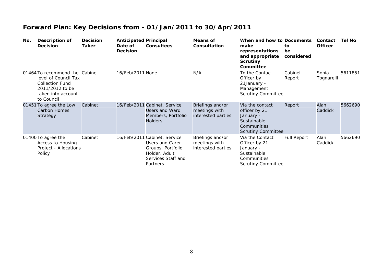| No. | Description of<br><b>Decision</b>                                                                                                       | <b>Decision</b><br>Taker | <b>Anticipated Principal</b><br>Date of<br><b>Decision</b> | <b>Consultees</b>                                                                                                       | Means of<br>Consultation                                | When and how to Documents<br>make<br>representations<br>and appropriate<br><b>Scrutiny</b><br>Committee  | to.<br>be<br>considered | Contact<br><b>Officer</b> | <b>Tel No</b> |
|-----|-----------------------------------------------------------------------------------------------------------------------------------------|--------------------------|------------------------------------------------------------|-------------------------------------------------------------------------------------------------------------------------|---------------------------------------------------------|----------------------------------------------------------------------------------------------------------|-------------------------|---------------------------|---------------|
|     | 01464 To recommend the Cabinet<br>level of Council Tax<br><b>Collection Fund</b><br>2011/2012 to be<br>taken into account<br>to Council |                          | 16/Feb/2011 None                                           |                                                                                                                         | N/A                                                     | To the Contact<br>Officer by<br>21January -<br>Management<br><b>Scrutiny Committee</b>                   | Cabinet<br>Report       | Sonia<br>Tognarelli       | 5611851       |
|     | 01451 To agree the Low<br><b>Carbon Homes</b><br>Strategy                                                                               | Cabinet                  |                                                            | 16/Feb/2011 Cabinet, Service<br>Users and Ward<br>Members, Portfolio<br><b>Holders</b>                                  | Briefings and/or<br>meetings with<br>interested parties | Via the contact<br>officer by 21<br>January -<br>Sustainable<br>Communities<br><b>Scrutiny Committee</b> | Report                  | Alan<br>Caddick           | 5662690       |
|     | 01400 To agree the<br>Access to Housing<br>Project - Allocations<br>Policy                                                              | Cabinet                  |                                                            | 16/Feb/2011 Cabinet, Service<br>Users and Carer<br>Groups, Portfolio<br>Holder, Adult<br>Services Staff and<br>Partners | Briefings and/or<br>meetings with<br>interested parties | Via the Contact<br>Officer by 21<br>January -<br>Sustainable<br>Communities<br><b>Scrutiny Committee</b> | <b>Full Report</b>      | Alan<br>Caddick           | 5662690       |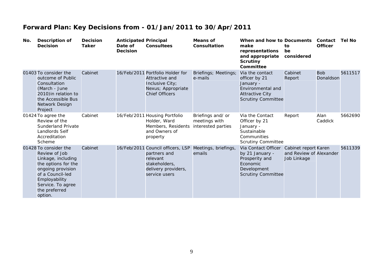| No. | <b>Description of</b><br><b>Decision</b>                                                                                                                                                       | <b>Decision</b><br><b>Taker</b> | <b>Anticipated Principal</b><br>Date of<br><b>Decision</b> | Consultees                                                                                                             | Means of<br>Consultation                                 | When and how to Documents<br>make<br>representations<br>and appropriate<br><b>Scrutiny</b><br>Committee                   | to<br>be<br>considered                                         | Contact<br><b>Officer</b> | <b>Tel No</b> |
|-----|------------------------------------------------------------------------------------------------------------------------------------------------------------------------------------------------|---------------------------------|------------------------------------------------------------|------------------------------------------------------------------------------------------------------------------------|----------------------------------------------------------|---------------------------------------------------------------------------------------------------------------------------|----------------------------------------------------------------|---------------------------|---------------|
|     | 01403 To consider the<br>outcome of Public<br>Consultation<br>(March - June<br>2010) in relation to<br>the Accessible Bus<br>Network Design<br>Project                                         | Cabinet                         |                                                            | 16/Feb/2011 Portfolio Holder for<br>Attractive and<br>Inclusive City;<br>Nexus; Appropriate<br><b>Chief Officers</b>   | Briefings; Meetings;<br>e-mails                          | Via the contact<br>officer by 21<br>January -<br>Environmental and<br><b>Attractive City</b><br><b>Scrutiny Committee</b> | Cabinet<br>Report                                              | <b>Bob</b><br>Donaldson   | 5611517       |
|     | 01424 To agree the<br>Review of the<br><b>Sunderland Private</b><br>Landlords Self<br>Accreditation<br>Scheme                                                                                  | Cabinet                         |                                                            | 16/Feb/2011 Housing Portfolio<br>Holder, Ward<br>Members, Residents<br>and Owners of<br>property                       | Briefings and/ or<br>meetings with<br>interested parties | Via the Contact<br>Officer by 21<br>January -<br>Sustainable<br>Communities<br><b>Scrutiny Committee</b>                  | Report                                                         | Alan<br>Caddick           | 5662690       |
|     | 01428 To consider the<br>Review of Job<br>Linkage, including<br>the options for the<br>ongoing provision<br>of a Council-led<br>Employability<br>Service. To agree<br>the preferred<br>option. | Cabinet                         |                                                            | 16/Feb/2011 Council officers, LSP<br>partners and<br>relevant<br>stakeholders,<br>delivery providers,<br>service users | Meetings, briefings,<br>emails                           | Via Contact Officer<br>by 21 January -<br>Prosperity and<br>Economic<br>Development<br><b>Scrutiny Committee</b>          | Cabinet report Karen<br>and Review of Alexander<br>Job Linkage |                           | 5611339       |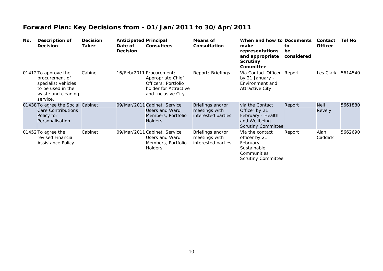| No. | Description of<br><b>Decision</b>                                                                                    | <b>Decision</b><br>Taker | <b>Anticipated Principal</b><br>Date of<br><b>Decision</b> | <b>Consultees</b>                                                                                                   | Means of<br>Consultation                                | When and how to Documents<br>make<br>representations<br>and appropriate<br><b>Scrutiny</b><br>Committee   | to.<br>be<br>considered | Contact<br><b>Officer</b> | Tel No  |
|-----|----------------------------------------------------------------------------------------------------------------------|--------------------------|------------------------------------------------------------|---------------------------------------------------------------------------------------------------------------------|---------------------------------------------------------|-----------------------------------------------------------------------------------------------------------|-------------------------|---------------------------|---------|
|     | 01412 To approve the<br>procurement of<br>specialist vehicles<br>to be used in the<br>waste and cleaning<br>service. | Cabinet                  |                                                            | 16/Feb/2011 Procurement;<br>Appropriate Chief<br>Officers; Portfolio<br>holder for Attractive<br>and Inclusive City | Report; Briefings                                       | Via Contact Officer Report<br>by 21 January -<br>Environment and<br><b>Attractive City</b>                |                         | Les Clark                 | 5614540 |
|     | 01438 To agree the Social Cabinet<br>Care Contributions<br>Policy for<br>Personalisation                             |                          |                                                            | 09/Mar/2011 Cabinet, Service<br>Users and Ward<br>Members, Portfolio<br><b>Holders</b>                              | Briefings and/or<br>meetings with<br>interested parties | via the Contact<br>Officer by 21<br>February - Health<br>and Wellbeing<br><b>Scrutiny Committee</b>       | Report                  | <b>Neil</b><br>Revely     | 5661880 |
|     | 01452 To agree the<br>revised Financial<br><b>Assistance Policy</b>                                                  | Cabinet                  |                                                            | 09/Mar/2011 Cabinet, Service<br>Users and Ward<br>Members, Portfolio<br><b>Holders</b>                              | Briefings and/or<br>meetings with<br>interested parties | Via the contact<br>officer by 21<br>February -<br>Sustainable<br>Communities<br><b>Scrutiny Committee</b> | Report                  | Alan<br>Caddick           | 5662690 |